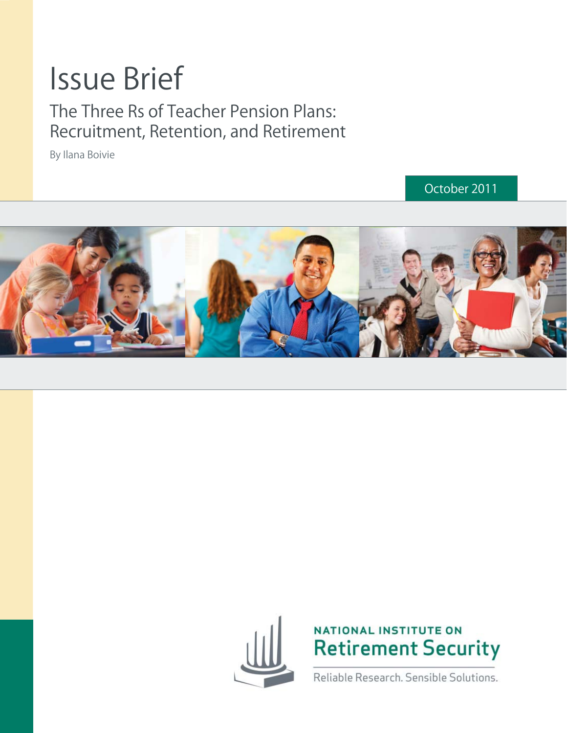# Issue Brief

### The Three Rs of Teacher Pension Plans: Recruitment, Retention, and Retirement

By Ilana Boivie

October 2011







Reliable Research. Sensible Solutions.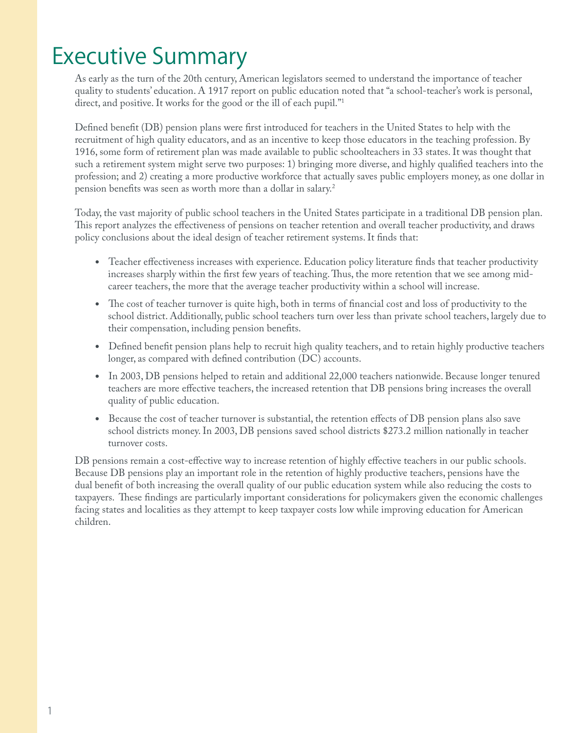### Executive Summary

As early as the turn of the 20th century, American legislators seemed to understand the importance of teacher quality to students' education. A 1917 report on public education noted that "a school-teacher's work is personal, direct, and positive. It works for the good or the ill of each pupil."1

Defined benefit (DB) pension plans were first introduced for teachers in the United States to help with the recruitment of high quality educators, and as an incentive to keep those educators in the teaching profession. By 1916, some form of retirement plan was made available to public schoolteachers in 33 states. It was thought that such a retirement system might serve two purposes: 1) bringing more diverse, and highly qualified teachers into the profession; and 2) creating a more productive workforce that actually saves public employers money, as one dollar in pension benefits was seen as worth more than a dollar in salary.<sup>2</sup>

Today, the vast majority of public school teachers in the United States participate in a traditional DB pension plan. This report analyzes the effectiveness of pensions on teacher retention and overall teacher productivity, and draws policy conclusions about the ideal design of teacher retirement systems. It finds that:

- Teacher effectiveness increases with experience. Education policy literature finds that teacher productivity increases sharply within the first few years of teaching. Thus, the more retention that we see among midcareer teachers, the more that the average teacher productivity within a school will increase.
- The cost of teacher turnover is quite high, both in terms of financial cost and loss of productivity to the school district. Additionally, public school teachers turn over less than private school teachers, largely due to their compensation, including pension benefits.
- Defined benefit pension plans help to recruit high quality teachers, and to retain highly productive teachers longer, as compared with defined contribution  $(DC)$  accounts.
- In 2003, DB pensions helped to retain and additional 22,000 teachers nationwide. Because longer tenured teachers are more effective teachers, the increased retention that DB pensions bring increases the overall quality of public education.
- Because the cost of teacher turnover is substantial, the retention effects of DB pension plans also save school districts money. In 2003, DB pensions saved school districts \$273.2 million nationally in teacher turnover costs.

DB pensions remain a cost-effective way to increase retention of highly effective teachers in our public schools. Because DB pensions play an important role in the retention of highly productive teachers, pensions have the dual benefit of both increasing the overall quality of our public education system while also reducing the costs to taxpayers. These findings are particularly important considerations for policymakers given the economic challenges facing states and localities as they attempt to keep taxpayer costs low while improving education for American children.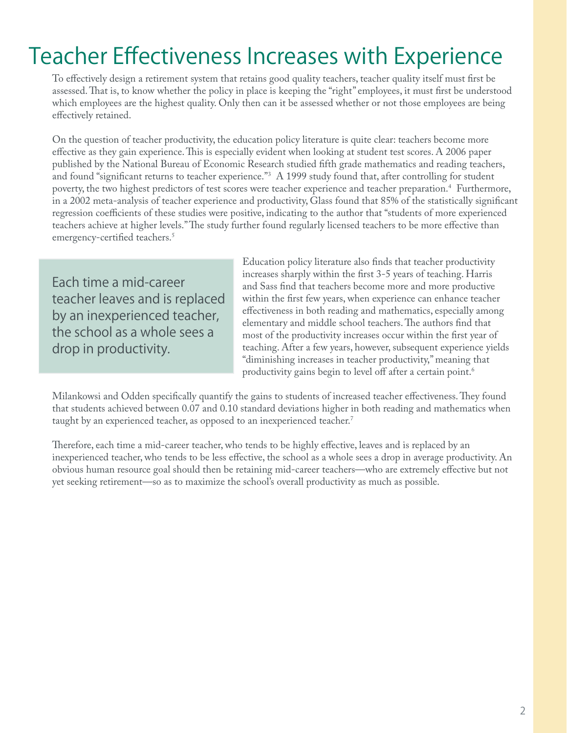### Teacher Effectiveness Increases with Experience

To effectively design a retirement system that retains good quality teachers, teacher quality itself must first be assessed. That is, to know whether the policy in place is keeping the "right" employees, it must first be understood which employees are the highest quality. Only then can it be assessed whether or not those employees are being effectively retained.

On the question of teacher productivity, the education policy literature is quite clear: teachers become more effective as they gain experience. This is especially evident when looking at student test scores. A 2006 paper published by the National Bureau of Economic Research studied fifth grade mathematics and reading teachers, and found "significant returns to teacher experience."<sup>3</sup> A 1999 study found that, after controlling for student poverty, the two highest predictors of test scores were teacher experience and teacher preparation.4 Furthermore, in a 2002 meta-analysis of teacher experience and productivity, Glass found that 85% of the statistically significant regression coefficients of these studies were positive, indicating to the author that "students of more experienced teachers achieve at higher levels." The study further found regularly licensed teachers to be more effective than emergency-certified teachers.<sup>5</sup>

Each time a mid-career teacher leaves and is replaced by an inexperienced teacher, the school as a whole sees a drop in productivity.

Education policy literature also finds that teacher productivity increases sharply within the first 3-5 years of teaching. Harris and Sass find that teachers become more and more productive within the first few years, when experience can enhance teacher effectiveness in both reading and mathematics, especially among elementary and middle school teachers. The authors find that most of the productivity increases occur within the first year of teaching. After a few years, however, subsequent experience yields "diminishing increases in teacher productivity," meaning that productivity gains begin to level off after a certain point.<sup>6</sup>

Milankowsi and Odden specifically quantify the gains to students of increased teacher effectiveness. They found that students achieved between 0.07 and 0.10 standard deviations higher in both reading and mathematics when taught by an experienced teacher, as opposed to an inexperienced teacher.<sup>7</sup>

Therefore, each time a mid-career teacher, who tends to be highly effective, leaves and is replaced by an inexperienced teacher, who tends to be less effective, the school as a whole sees a drop in average productivity. An obvious human resource goal should then be retaining mid-career teachers—who are extremely effective but not yet seeking retirement—so as to maximize the school's overall productivity as much as possible.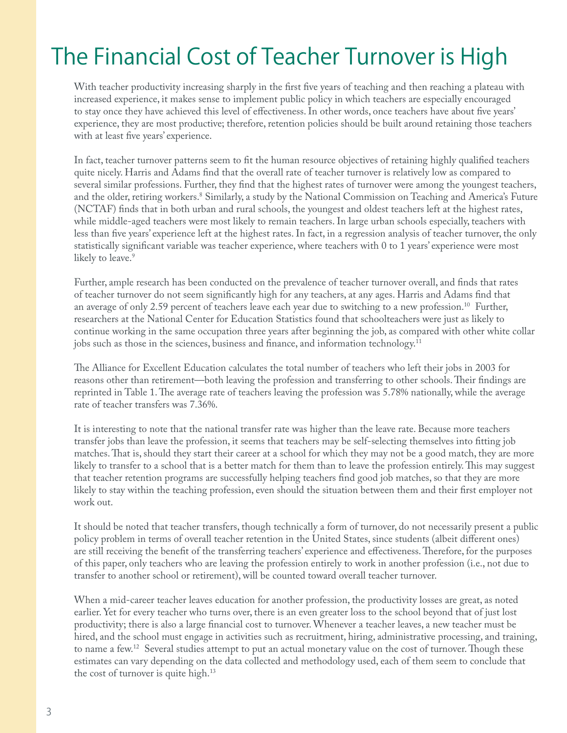## The Financial Cost of Teacher Turnover is High

With teacher productivity increasing sharply in the first five years of teaching and then reaching a plateau with increased experience, it makes sense to implement public policy in which teachers are especially encouraged to stay once they have achieved this level of effectiveness. In other words, once teachers have about five years' experience, they are most productive; therefore, retention policies should be built around retaining those teachers with at least five years' experience.

In fact, teacher turnover patterns seem to fit the human resource objectives of retaining highly qualified teachers quite nicely. Harris and Adams find that the overall rate of teacher turnover is relatively low as compared to several similar professions. Further, they find that the highest rates of turnover were among the youngest teachers, and the older, retiring workers.<sup>8</sup> Similarly, a study by the National Commission on Teaching and America's Future (NCTAF) finds that in both urban and rural schools, the youngest and oldest teachers left at the highest rates, while middle-aged teachers were most likely to remain teachers. In large urban schools especially, teachers with less than five years' experience left at the highest rates. In fact, in a regression analysis of teacher turnover, the only statistically significant variable was teacher experience, where teachers with 0 to 1 years' experience were most likely to leave.<sup>9</sup>

Further, ample research has been conducted on the prevalence of teacher turnover overall, and finds that rates of teacher turnover do not seem significantly high for any teachers, at any ages. Harris and Adams find that an average of only 2.59 percent of teachers leave each year due to switching to a new profession.10 Further, researchers at the National Center for Education Statistics found that schoolteachers were just as likely to continue working in the same occupation three years after beginning the job, as compared with other white collar jobs such as those in the sciences, business and finance, and information technology.<sup>11</sup>

The Alliance for Excellent Education calculates the total number of teachers who left their jobs in 2003 for reasons other than retirement—both leaving the profession and transferring to other schools. Their findings are reprinted in Table 1. The average rate of teachers leaving the profession was 5.78% nationally, while the average rate of teacher transfers was 7.36%.

It is interesting to note that the national transfer rate was higher than the leave rate. Because more teachers transfer jobs than leave the profession, it seems that teachers may be self-selecting themselves into fitting job matches. That is, should they start their career at a school for which they may not be a good match, they are more likely to transfer to a school that is a better match for them than to leave the profession entirely. This may suggest that teacher retention programs are successfully helping teachers find good job matches, so that they are more likely to stay within the teaching profession, even should the situation between them and their first employer not work out.

It should be noted that teacher transfers, though technically a form of turnover, do not necessarily present a public policy problem in terms of overall teacher retention in the United States, since students (albeit different ones) are still receiving the benefit of the transferring teachers' experience and effectiveness. Therefore, for the purposes of this paper, only teachers who are leaving the profession entirely to work in another profession (i.e., not due to transfer to another school or retirement), will be counted toward overall teacher turnover.

When a mid-career teacher leaves education for another profession, the productivity losses are great, as noted earlier. Yet for every teacher who turns over, there is an even greater loss to the school beyond that of just lost productivity; there is also a large financial cost to turnover. Whenever a teacher leaves, a new teacher must be hired, and the school must engage in activities such as recruitment, hiring, administrative processing, and training, to name a few.<sup>12</sup> Several studies attempt to put an actual monetary value on the cost of turnover. Though these estimates can vary depending on the data collected and methodology used, each of them seem to conclude that the cost of turnover is quite high.<sup>13</sup>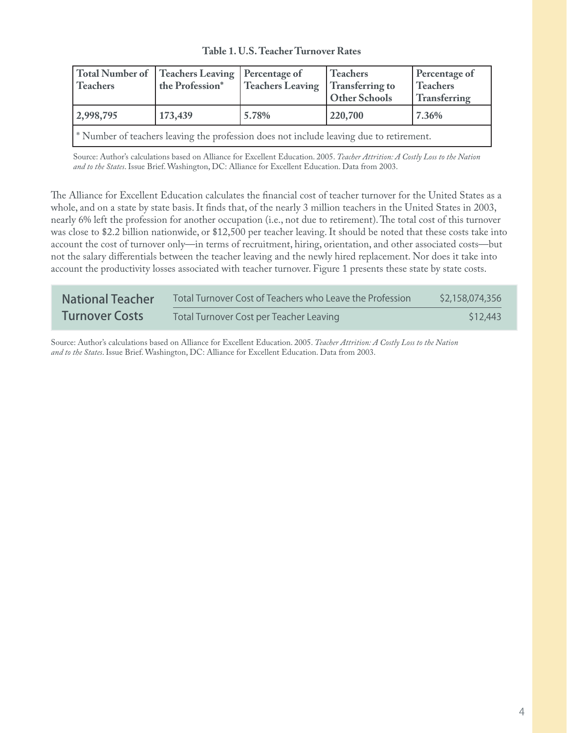**Table 1. U.S. Teacher Turnover Rates**

| <b>Teachers</b>                                                                         | Total Number of   Teachers Leaving   Percentage of<br>the Profession* | Teachers Leaving | Teachers<br>Transferring to<br><b>Other Schools</b> | Percentage of<br><b>Teachers</b><br>Transferring |
|-----------------------------------------------------------------------------------------|-----------------------------------------------------------------------|------------------|-----------------------------------------------------|--------------------------------------------------|
| 2,998,795                                                                               | 173,439                                                               | 5.78%            | 220,700                                             | 7.36%                                            |
| * Number of teachers leaving the profession does not include leaving due to retirement. |                                                                       |                  |                                                     |                                                  |

Source: Author's calculations based on Alliance for Excellent Education. 2005. *Teacher Attrition: A Costly Loss to the Nation and to the States*. Issue Brief. Washington, DC: Alliance for Excellent Education. Data from 2003.

The Alliance for Excellent Education calculates the financial cost of teacher turnover for the United States as a whole, and on a state by state basis. It finds that, of the nearly 3 million teachers in the United States in 2003, nearly 6% left the profession for another occupation (i.e., not due to retirement). The total cost of this turnover was close to \$2.2 billion nationwide, or \$12,500 per teacher leaving. It should be noted that these costs take into account the cost of turnover only—in terms of recruitment, hiring, orientation, and other associated costs—but not the salary differentials between the teacher leaving and the newly hired replacement. Nor does it take into account the productivity losses associated with teacher turnover. Figure 1 presents these state by state costs.

| <b>National Teacher</b> | Total Turnover Cost of Teachers who Leave the Profession | \$2,158,074,356 |
|-------------------------|----------------------------------------------------------|-----------------|
| <b>Turnover Costs</b>   | Total Turnover Cost per Teacher Leaving                  | \$12,443        |

Source: Author's calculations based on Alliance for Excellent Education. 2005. *Teacher Attrition: A Costly Loss to the Nation and to the States*. Issue Brief. Washington, DC: Alliance for Excellent Education. Data from 2003.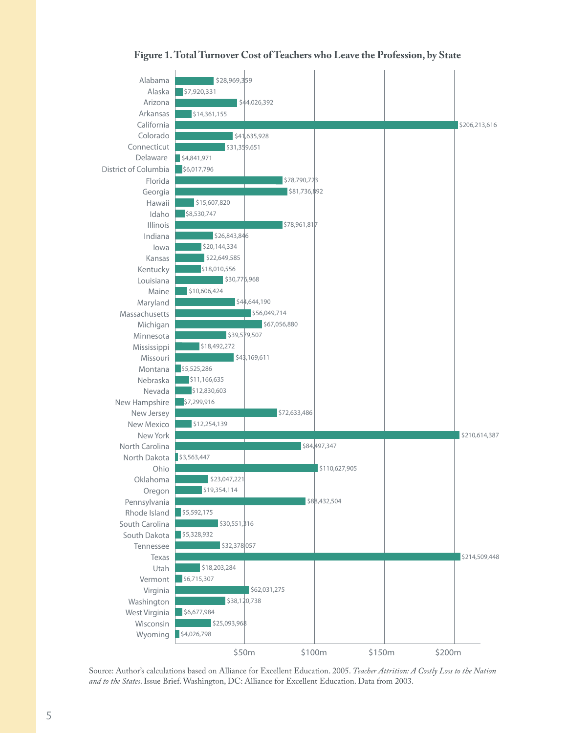



Source: Author's calculations based on Alliance for Excellent Education. 2005. *Teacher Attrition: A Costly Loss to the Nation and to the States*. Issue Brief. Washington, DC: Alliance for Excellent Education. Data from 2003.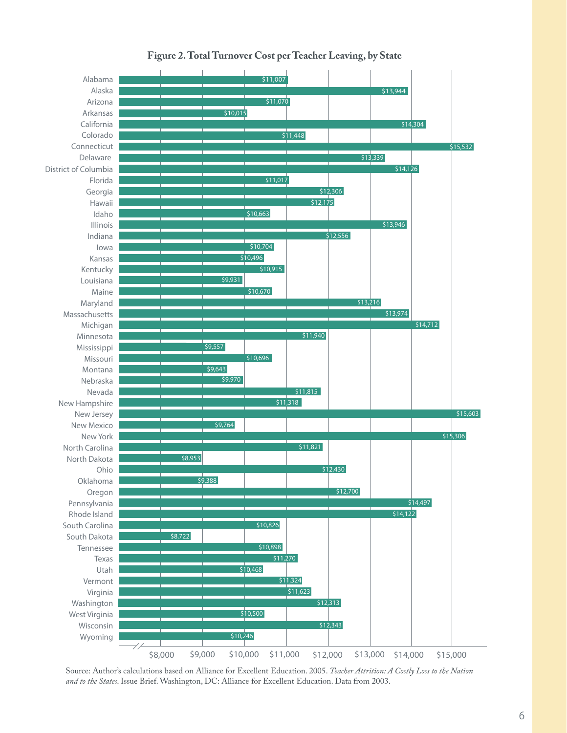

**Figure 2. Total Turnover Cost per Teacher Leaving, by State**

Source: Author's calculations based on Alliance for Excellent Education. 2005. *Teacher Attrition: A Costly Loss to the Nation and to the States*. Issue Brief. Washington, DC: Alliance for Excellent Education. Data from 2003.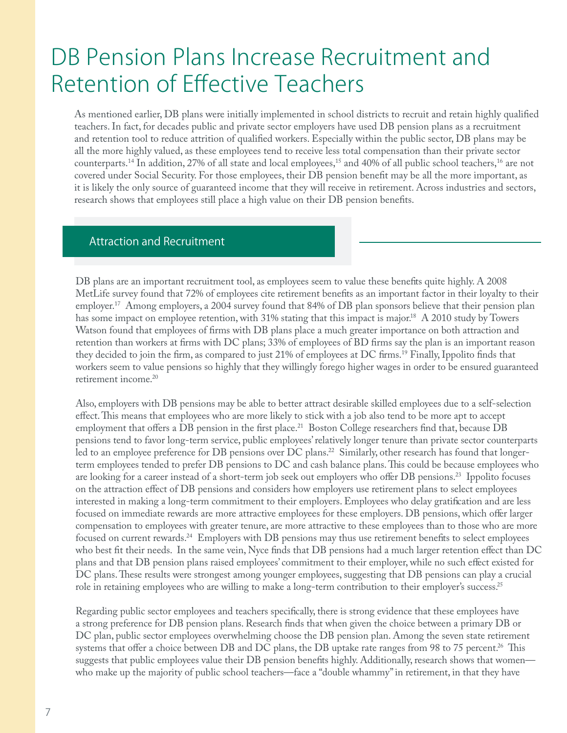### DB Pension Plans Increase Recruitment and Retention of Effective Teachers

As mentioned earlier, DB plans were initially implemented in school districts to recruit and retain highly qualified teachers. In fact, for decades public and private sector employers have used DB pension plans as a recruitment and retention tool to reduce attrition of qualified workers. Especially within the public sector, DB plans may be all the more highly valued, as these employees tend to receive less total compensation than their private sector counterparts.<sup>14</sup> In addition, 27% of all state and local employees,<sup>15</sup> and 40% of all public school teachers,<sup>16</sup> are not covered under Social Security. For those employees, their DB pension benefit may be all the more important, as it is likely the only source of guaranteed income that they will receive in retirement. Across industries and sectors, research shows that employees still place a high value on their DB pension benefits.

#### Attraction and Recruitment

DB plans are an important recruitment tool, as employees seem to value these benefits quite highly. A 2008 MetLife survey found that 72% of employees cite retirement benefits as an important factor in their loyalty to their employer.<sup>17</sup> Among employers, a 2004 survey found that 84% of DB plan sponsors believe that their pension plan has some impact on employee retention, with 31% stating that this impact is major.<sup>18</sup> A 2010 study by Towers Watson found that employees of firms with DB plans place a much greater importance on both attraction and retention than workers at firms with DC plans; 33% of employees of BD firms say the plan is an important reason they decided to join the firm, as compared to just 21% of employees at DC firms.<sup>19</sup> Finally, Ippolito finds that workers seem to value pensions so highly that they willingly forego higher wages in order to be ensured guaranteed retirement income.20

Also, employers with DB pensions may be able to better attract desirable skilled employees due to a self-selection effect. This means that employees who are more likely to stick with a job also tend to be more apt to accept employment that offers a DB pension in the first place.<sup>21</sup> Boston College researchers find that, because DB pensions tend to favor long-term service, public employees' relatively longer tenure than private sector counterparts led to an employee preference for DB pensions over DC plans.<sup>22</sup> Similarly, other research has found that longerterm employees tended to prefer DB pensions to DC and cash balance plans. This could be because employees who are looking for a career instead of a short-term job seek out employers who offer DB pensions.<sup>23</sup> Ippolito focuses on the attraction effect of DB pensions and considers how employers use retirement plans to select employees interested in making a long-term commitment to their employers. Employees who delay gratification and are less focused on immediate rewards are more attractive employees for these employers. DB pensions, which offer larger compensation to employees with greater tenure, are more attractive to these employees than to those who are more focused on current rewards.<sup>24</sup> Employers with DB pensions may thus use retirement benefits to select employees who best fit their needs. In the same vein, Nyce finds that DB pensions had a much larger retention effect than DC plans and that DB pension plans raised employees' commitment to their employer, while no such effect existed for DC plans. These results were strongest among younger employees, suggesting that DB pensions can play a crucial role in retaining employees who are willing to make a long-term contribution to their employer's success.<sup>25</sup>

Regarding public sector employees and teachers specifically, there is strong evidence that these employees have a strong preference for DB pension plans. Research finds that when given the choice between a primary DB or DC plan, public sector employees overwhelming choose the DB pension plan. Among the seven state retirement systems that offer a choice between DB and DC plans, the DB uptake rate ranges from 98 to 75 percent.<sup>26</sup> This suggests that public employees value their DB pension benefits highly. Additionally, research shows that women who make up the majority of public school teachers—face a "double whammy" in retirement, in that they have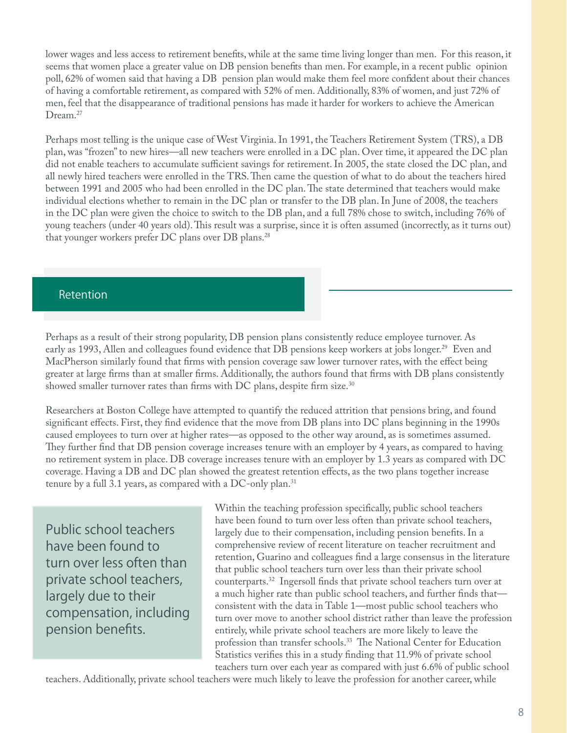lower wages and less access to retirement benefits, while at the same time living longer than men. For this reason, it seems that women place a greater value on DB pension benefits than men. For example, in a recent public opinion poll, 62% of women said that having a DB pension plan would make them feel more confident about their chances of having a comfortable retirement, as compared with 52% of men. Additionally, 83% of women, and just 72% of men, feel that the disappearance of traditional pensions has made it harder for workers to achieve the American Dream.<sup>27</sup>

Perhaps most telling is the unique case of West Virginia. In 1991, the Teachers Retirement System (TRS), a DB plan, was "frozen" to new hires—all new teachers were enrolled in a DC plan. Over time, it appeared the DC plan did not enable teachers to accumulate sufficient savings for retirement. In 2005, the state closed the DC plan, and all newly hired teachers were enrolled in the TRS. Then came the question of what to do about the teachers hired between 1991 and 2005 who had been enrolled in the DC plan. The state determined that teachers would make individual elections whether to remain in the DC plan or transfer to the DB plan. In June of 2008, the teachers in the DC plan were given the choice to switch to the DB plan, and a full 78% chose to switch, including 76% of young teachers (under 40 years old). This result was a surprise, since it is often assumed (incorrectly, as it turns out) that younger workers prefer DC plans over DB plans.28

#### Retention

Perhaps as a result of their strong popularity, DB pension plans consistently reduce employee turnover. As early as 1993, Allen and colleagues found evidence that DB pensions keep workers at jobs longer.<sup>29</sup> Even and MacPherson similarly found that firms with pension coverage saw lower turnover rates, with the effect being greater at large firms than at smaller firms. Additionally, the authors found that firms with DB plans consistently showed smaller turnover rates than firms with DC plans, despite firm size.<sup>30</sup>

Researchers at Boston College have attempted to quantify the reduced attrition that pensions bring, and found significant effects. First, they find evidence that the move from DB plans into DC plans beginning in the 1990s caused employees to turn over at higher rates—as opposed to the other way around, as is sometimes assumed. They further find that DB pension coverage increases tenure with an employer by 4 years, as compared to having no retirement system in place. DB coverage increases tenure with an employer by 1.3 years as compared with DC coverage. Having a DB and DC plan showed the greatest retention effects, as the two plans together increase tenure by a full 3.1 years, as compared with a DC-only plan.<sup>31</sup>

Public school teachers have been found to turn over less often than private school teachers, largely due to their compensation, including pension benefits.

Within the teaching profession specifically, public school teachers have been found to turn over less often than private school teachers, largely due to their compensation, including pension benefits. In a comprehensive review of recent literature on teacher recruitment and retention, Guarino and colleagues find a large consensus in the literature that public school teachers turn over less than their private school counterparts.<sup>32</sup> Ingersoll finds that private school teachers turn over at a much higher rate than public school teachers, and further finds that consistent with the data in Table 1—most public school teachers who turn over move to another school district rather than leave the profession entirely, while private school teachers are more likely to leave the profession than transfer schools.<sup>33</sup> The National Center for Education Statistics verifies this in a study finding that 11.9% of private school teachers turn over each year as compared with just 6.6% of public school

teachers. Additionally, private school teachers were much likely to leave the profession for another career, while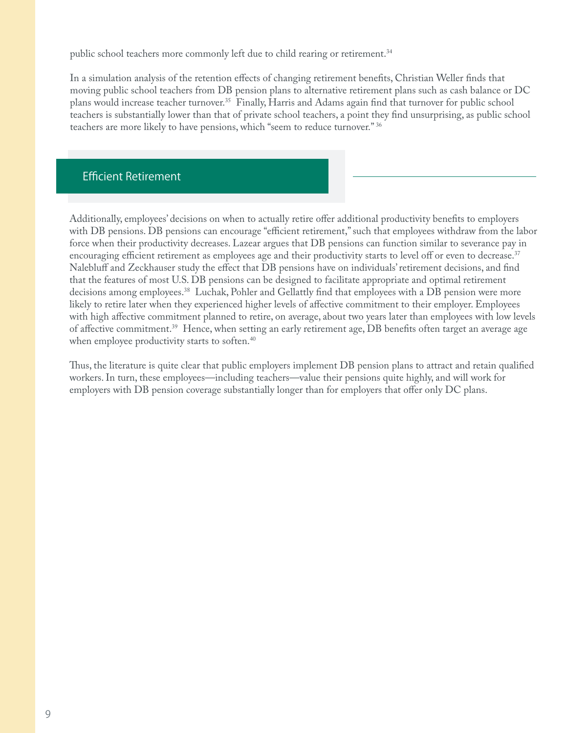public school teachers more commonly left due to child rearing or retirement.<sup>34</sup>

In a simulation analysis of the retention effects of changing retirement benefits, Christian Weller finds that moving public school teachers from DB pension plans to alternative retirement plans such as cash balance or DC plans would increase teacher turnover.<sup>35</sup> Finally, Harris and Adams again find that turnover for public school teachers is substantially lower than that of private school teachers, a point they find unsurprising, as public school teachers are more likely to have pensions, which "seem to reduce turnover." 36

#### **Efficient Retirement**

Additionally, employees' decisions on when to actually retire offer additional productivity benefits to employers with DB pensions. DB pensions can encourage "efficient retirement," such that employees withdraw from the labor force when their productivity decreases. Lazear argues that DB pensions can function similar to severance pay in encouraging efficient retirement as employees age and their productivity starts to level off or even to decrease.<sup>37</sup> Nalebluff and Zeckhauser study the effect that DB pensions have on individuals' retirement decisions, and find that the features of most U.S. DB pensions can be designed to facilitate appropriate and optimal retirement decisions among employees.<sup>38</sup> Luchak, Pohler and Gellattly find that employees with a DB pension were more likely to retire later when they experienced higher levels of affective commitment to their employer. Employees with high affective commitment planned to retire, on average, about two years later than employees with low levels of affective commitment.<sup>39</sup> Hence, when setting an early retirement age, DB benefits often target an average age when employee productivity starts to soften.<sup>40</sup>

Thus, the literature is quite clear that public employers implement DB pension plans to attract and retain qualified workers. In turn, these employees—including teachers—value their pensions quite highly, and will work for employers with DB pension coverage substantially longer than for employers that offer only DC plans.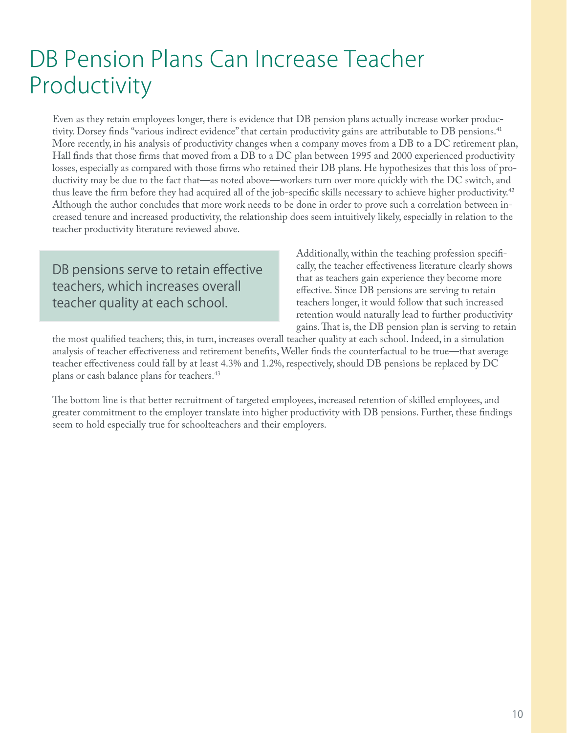## DB Pension Plans Can Increase Teacher Productivity

Even as they retain employees longer, there is evidence that DB pension plans actually increase worker productivity. Dorsey finds "various indirect evidence" that certain productivity gains are attributable to DB pensions.<sup>41</sup> More recently, in his analysis of productivity changes when a company moves from a DB to a DC retirement plan, Hall finds that those firms that moved from a DB to a DC plan between 1995 and 2000 experienced productivity losses, especially as compared with those firms who retained their DB plans. He hypothesizes that this loss of productivity may be due to the fact that—as noted above—workers turn over more quickly with the DC switch, and thus leave the firm before they had acquired all of the job-specific skills necessary to achieve higher productivity.<sup>42</sup> Although the author concludes that more work needs to be done in order to prove such a correlation between increased tenure and increased productivity, the relationship does seem intuitively likely, especially in relation to the teacher productivity literature reviewed above.

DB pensions serve to retain effective teachers, which increases overall teacher quality at each school.

Additionally, within the teaching profession specifically, the teacher effectiveness literature clearly shows that as teachers gain experience they become more effective. Since DB pensions are serving to retain teachers longer, it would follow that such increased retention would naturally lead to further productivity gains. That is, the DB pension plan is serving to retain

the most qualified teachers; this, in turn, increases overall teacher quality at each school. Indeed, in a simulation analysis of teacher effectiveness and retirement benefits, Weller finds the counterfactual to be true—that average teacher effectiveness could fall by at least 4.3% and 1.2%, respectively, should DB pensions be replaced by DC plans or cash balance plans for teachers.<sup>43</sup>

The bottom line is that better recruitment of targeted employees, increased retention of skilled employees, and greater commitment to the employer translate into higher productivity with DB pensions. Further, these findings seem to hold especially true for schoolteachers and their employers.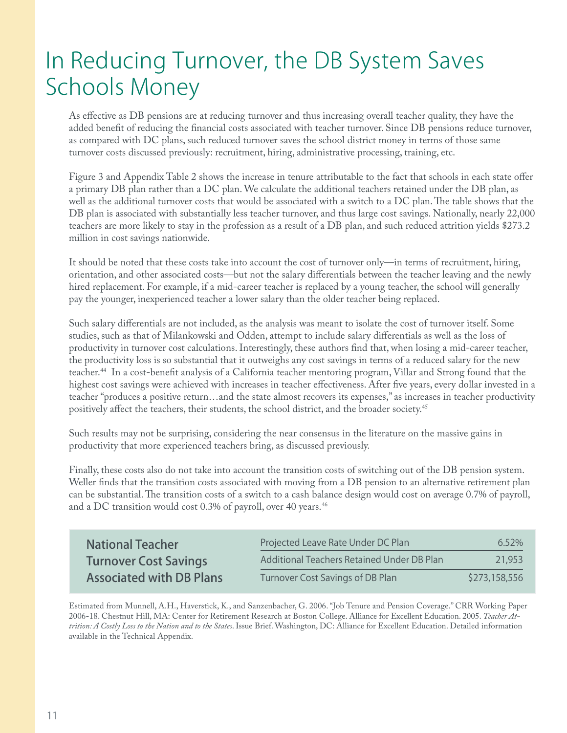## In Reducing Turnover, the DB System Saves Schools Money

As effective as DB pensions are at reducing turnover and thus increasing overall teacher quality, they have the added benefit of reducing the financial costs associated with teacher turnover. Since DB pensions reduce turnover, as compared with DC plans, such reduced turnover saves the school district money in terms of those same turnover costs discussed previously: recruitment, hiring, administrative processing, training, etc.

Figure 3 and Appendix Table 2 shows the increase in tenure attributable to the fact that schools in each state offer a primary DB plan rather than a DC plan. We calculate the additional teachers retained under the DB plan, as well as the additional turnover costs that would be associated with a switch to a DC plan. The table shows that the DB plan is associated with substantially less teacher turnover, and thus large cost savings. Nationally, nearly 22,000 teachers are more likely to stay in the profession as a result of a DB plan, and such reduced attrition yields \$273.2 million in cost savings nationwide.

It should be noted that these costs take into account the cost of turnover only—in terms of recruitment, hiring, orientation, and other associated costs—but not the salary differentials between the teacher leaving and the newly hired replacement. For example, if a mid-career teacher is replaced by a young teacher, the school will generally pay the younger, inexperienced teacher a lower salary than the older teacher being replaced.

Such salary differentials are not included, as the analysis was meant to isolate the cost of turnover itself. Some studies, such as that of Milankowski and Odden, attempt to include salary differentials as well as the loss of productivity in turnover cost calculations. Interestingly, these authors find that, when losing a mid-career teacher, the productivity loss is so substantial that it outweighs any cost savings in terms of a reduced salary for the new teacher.<sup>44</sup> In a cost-benefit analysis of a California teacher mentoring program, Villar and Strong found that the highest cost savings were achieved with increases in teacher effectiveness. After five years, every dollar invested in a teacher "produces a positive return…and the state almost recovers its expenses," as increases in teacher productivity positively affect the teachers, their students, the school district, and the broader society.<sup>45</sup>

Such results may not be surprising, considering the near consensus in the literature on the massive gains in productivity that more experienced teachers bring, as discussed previously.

Finally, these costs also do not take into account the transition costs of switching out of the DB pension system. Weller finds that the transition costs associated with moving from a DB pension to an alternative retirement plan can be substantial. The transition costs of a switch to a cash balance design would cost on average 0.7% of payroll, and a DC transition would cost 0.3% of payroll, over 40 years.<sup>46</sup>

| <b>National Teacher</b>         | Projected Leave Rate Under DC Plan         | $6.52\%$      |
|---------------------------------|--------------------------------------------|---------------|
| <b>Turnover Cost Savings</b>    | Additional Teachers Retained Under DB Plan | 21,953        |
| <b>Associated with DB Plans</b> | Turnover Cost Savings of DB Plan           | \$273,158,556 |

Estimated from Munnell, A.H., Haverstick, K., and Sanzenbacher, G. 2006. "Job Tenure and Pension Coverage." CRR Working Paper 2006-18. Chestnut Hill, MA: Center for Retirement Research at Boston College. Alliance for Excellent Education. 2005. *Teacher Attrition: A Costly Loss to the Nation and to the States*. Issue Brief. Washington, DC: Alliance for Excellent Education. Detailed information available in the Technical Appendix.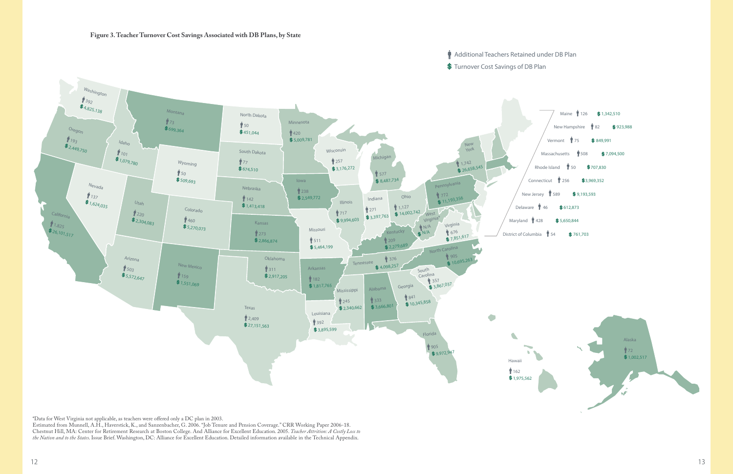#### $\hat{W}$  Additional Teachers Retained under DB Plan

\$ Turnover Cost Savings of DB Plan



\*Data for West Virginia not applicable, as teachers were offered only a DC plan in 2003.

Estimated from Munnell, A.H., Haverstick, K., and Sanzenbacher, G. 2006. "Job Tenure and Pension Coverage." CRR Working Paper 2006-18. Chestnut Hill, MA: Center for Retirement Research at Boston College. And Alliance for Excellent Education. 2005. *Teacher Attrition: A Costly Loss to the Nation and to the States*. Issue Brief. Washington, DC: Alliance for Excellent Education. Detailed information available in the Technical Appendix.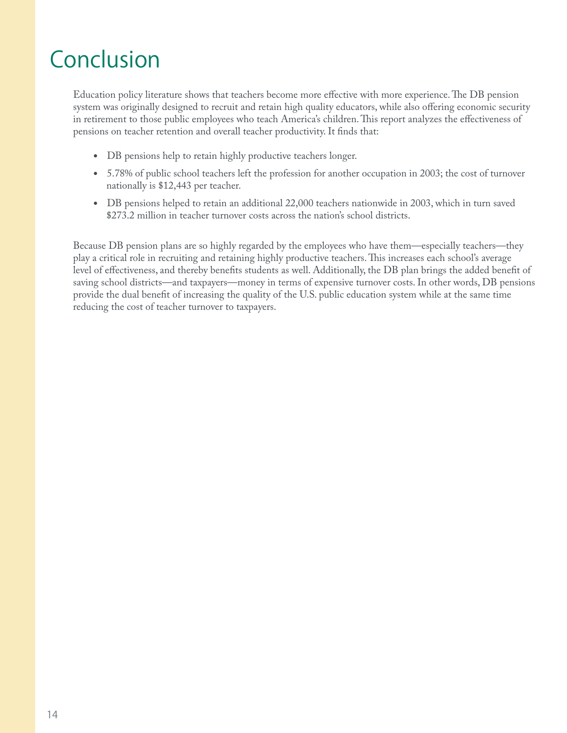## Conclusion

Education policy literature shows that teachers become more effective with more experience. The DB pension system was originally designed to recruit and retain high quality educators, while also offering economic security in retirement to those public employees who teach America's children. This report analyzes the effectiveness of pensions on teacher retention and overall teacher productivity. It finds that:

- DB pensions help to retain highly productive teachers longer.
- 5.78% of public school teachers left the profession for another occupation in 2003; the cost of turnover nationally is \$12,443 per teacher.
- DB pensions helped to retain an additional 22,000 teachers nationwide in 2003, which in turn saved \$273.2 million in teacher turnover costs across the nation's school districts.

Because DB pension plans are so highly regarded by the employees who have them—especially teachers—they play a critical role in recruiting and retaining highly productive teachers. " is increases each school's average level of effectiveness, and thereby benefits students as well. Additionally, the DB plan brings the added benefit of saving school districts—and taxpayers—money in terms of expensive turnover costs. In other words, DB pensions provide the dual benefit of increasing the quality of the U.S. public education system while at the same time reducing the cost of teacher turnover to taxpayers.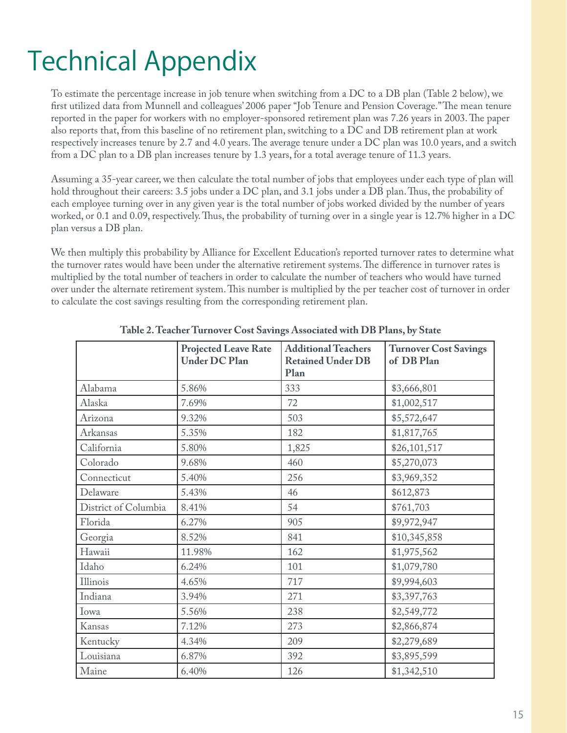## Technical Appendix

To estimate the percentage increase in job tenure when switching from a DC to a DB plan (Table 2 below), we first utilized data from Munnell and colleagues' 2006 paper "Job Tenure and Pension Coverage." The mean tenure reported in the paper for workers with no employer-sponsored retirement plan was 7.26 years in 2003. The paper also reports that, from this baseline of no retirement plan, switching to a DC and DB retirement plan at work respectively increases tenure by 2.7 and 4.0 years. The average tenure under a DC plan was 10.0 years, and a switch from a DC plan to a DB plan increases tenure by 1.3 years, for a total average tenure of 11.3 years.

Assuming a 35-year career, we then calculate the total number of jobs that employees under each type of plan will hold throughout their careers: 3.5 jobs under a DC plan, and 3.1 jobs under a DB plan. Thus, the probability of each employee turning over in any given year is the total number of jobs worked divided by the number of years worked, or 0.1 and 0.09, respectively. Thus, the probability of turning over in a single year is 12.7% higher in a DC plan versus a DB plan.

We then multiply this probability by Alliance for Excellent Education's reported turnover rates to determine what the turnover rates would have been under the alternative retirement systems. The difference in turnover rates is multiplied by the total number of teachers in order to calculate the number of teachers who would have turned over under the alternate retirement system. This number is multiplied by the per teacher cost of turnover in order to calculate the cost savings resulting from the corresponding retirement plan.

|                      | <b>Projected Leave Rate</b><br><b>Under DC Plan</b> | <b>Additional Teachers</b><br><b>Retained Under DB</b><br>Plan | <b>Turnover Cost Savings</b><br>of DB Plan |
|----------------------|-----------------------------------------------------|----------------------------------------------------------------|--------------------------------------------|
| Alabama              | 5.86%                                               | 333                                                            | \$3,666,801                                |
| Alaska               | 7.69%                                               | 72                                                             | \$1,002,517                                |
| Arizona              | 9.32%                                               | 503                                                            | \$5,572,647                                |
| Arkansas             | 5.35%                                               | 182                                                            | \$1,817,765                                |
| California           | 5.80%                                               | 1,825                                                          | \$26,101,517                               |
| Colorado             | 9.68%                                               | 460                                                            | \$5,270,073                                |
| Connecticut          | 5.40%                                               | 256                                                            | \$3,969,352                                |
| Delaware             | 5.43%                                               | 46                                                             | \$612,873                                  |
| District of Columbia | 8.41%                                               | 54                                                             | \$761,703                                  |
| Florida              | 6.27%                                               | 905                                                            | \$9,972,947                                |
| Georgia              | 8.52%                                               | 841                                                            | \$10,345,858                               |
| Hawaii               | 11.98%                                              | 162                                                            | \$1,975,562                                |
| Idaho                | 6.24%                                               | 101                                                            | \$1,079,780                                |
| Illinois             | 4.65%                                               | 717                                                            | \$9,994,603                                |
| Indiana              | 3.94%                                               | 271                                                            | \$3,397,763                                |
| Iowa                 | 5.56%                                               | 238                                                            | \$2,549,772                                |
| Kansas               | 7.12%                                               | 273                                                            | \$2,866,874                                |
| Kentucky             | 4.34%                                               | 209                                                            | \$2,279,689                                |
| Louisiana            | 6.87%                                               | 392                                                            | \$3,895,599                                |
| Maine                | 6.40%                                               | 126                                                            | \$1,342,510                                |

**Table 2. Teacher Turnover Cost Savings Associated with DB Plans, by State**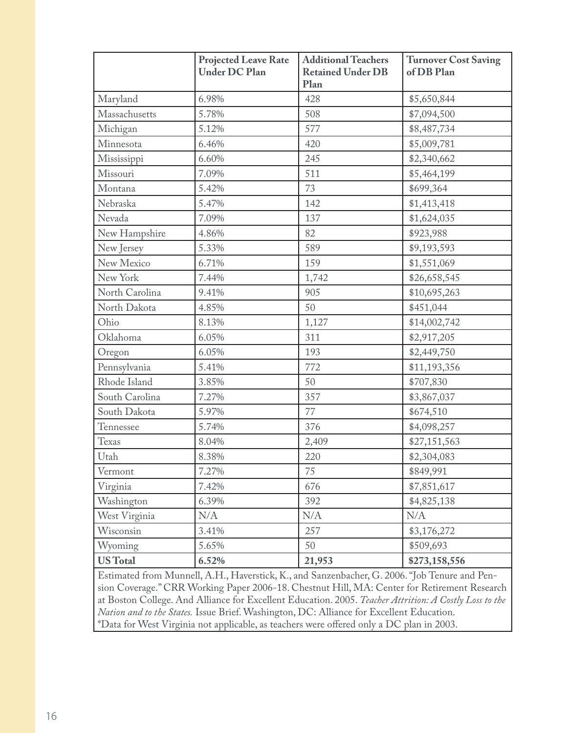|                 | <b>Projected Leave Rate</b><br><b>Under DC Plan</b> | <b>Additional Teachers</b><br><b>Retained Under DB</b><br>Plan | <b>Turnover Cost Saving</b><br>of DB Plan |
|-----------------|-----------------------------------------------------|----------------------------------------------------------------|-------------------------------------------|
| Maryland        | 6.98%                                               | 428                                                            | \$5,650,844                               |
| Massachusetts   | 5.78%                                               | 508                                                            | \$7,094,500                               |
| Michigan        | 5.12%                                               | 577                                                            | \$8,487,734                               |
| Minnesota       | 6.46%                                               | 420                                                            | \$5,009,781                               |
| Mississippi     | 6.60%                                               | 245                                                            | \$2,340,662                               |
| Missouri        | 7.09%                                               | 511                                                            | \$5,464,199                               |
| Montana         | 5.42%                                               | 73                                                             | \$699,364                                 |
| Nebraska        | 5.47%                                               | 142                                                            | \$1,413,418                               |
| Nevada          | 7.09%                                               | 137                                                            | \$1,624,035                               |
| New Hampshire   | 4.86%                                               | 82                                                             | \$923,988                                 |
| New Jersey      | 5.33%                                               | 589                                                            | \$9,193,593                               |
| New Mexico      | 6.71%                                               | 159                                                            | \$1,551,069                               |
| New York        | 7.44%                                               | 1,742                                                          | \$26,658,545                              |
| North Carolina  | 9.41%                                               | 905                                                            | \$10,695,263                              |
| North Dakota    | 4.85%                                               | 50                                                             | \$451,044                                 |
| Ohio            | 8.13%                                               | 1,127                                                          | \$14,002,742                              |
| Oklahoma        | 6.05%                                               | 311                                                            | \$2,917,205                               |
| Oregon          | 6.05%                                               | 193                                                            | \$2,449,750                               |
| Pennsylvania    | 5.41%                                               | 772                                                            | \$11,193,356                              |
| Rhode Island    | 3.85%                                               | 50                                                             | \$707,830                                 |
| South Carolina  | 7.27%                                               | 357                                                            | \$3,867,037                               |
| South Dakota    | 5.97%                                               | 77                                                             | \$674,510                                 |
| Tennessee       | 5.74%                                               | 376                                                            | \$4,098,257                               |
| Texas           | 8.04%                                               | 2,409                                                          | \$27,151,563                              |
| Utah            | 8.38%                                               | 220                                                            | \$2,304,083                               |
| Vermont         | 7.27%                                               | 75                                                             | \$849,991                                 |
| Virginia        | 7.42%                                               | 676                                                            | \$7,851,617                               |
| Washington      | 6.39%                                               | 392                                                            | \$4,825,138                               |
| West Virginia   | N/A                                                 | N/A                                                            | N/A                                       |
| Wisconsin       | 3.41%                                               | 257                                                            | \$3,176,272                               |
| Wyoming         | 5.65%                                               | 50                                                             | \$509,693                                 |
| <b>US</b> Total | 6.52%                                               | 21,953                                                         | \$273,158,556                             |

Estimated from Munnell, A.H., Haverstick, K., and Sanzenbacher, G. 2006. "Job Tenure and Pension Coverage." CRR Working Paper 2006-18. Chestnut Hill, MA: Center for Retirement Research at Boston College. And Alliance for Excellent Education. 2005. *Teacher Attrition: A Costly Loss to the Nation and to the States.* Issue Brief. Washington, DC: Alliance for Excellent Education. \*Data for West Virginia not applicable, as teachers were offered only a DC plan in 2003.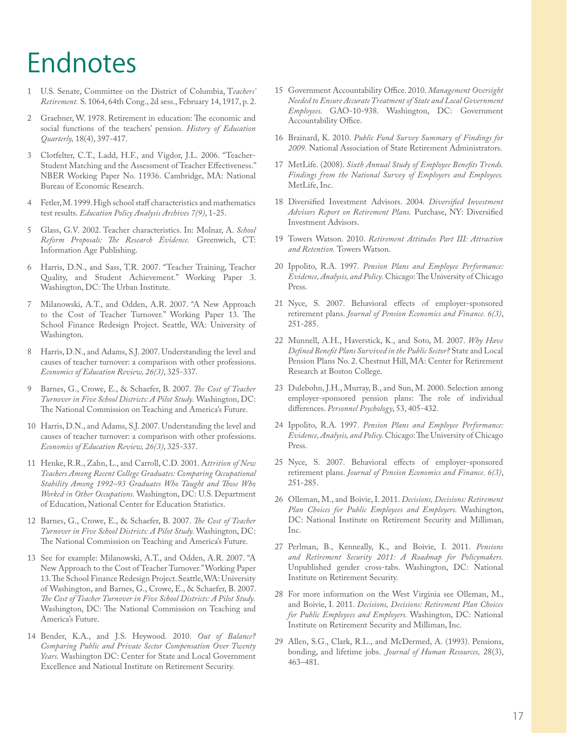## Endnotes

- 1 U.S. Senate, Committee on the District of Columbia, T*eachers' Retirement.* S. 1064, 64th Cong., 2d sess., February 14, 1917, p. 2.
- 2 Graebner, W. 1978. Retirement in education: The economic and social functions of the teachers' pension. *History of Education Quarterly,* 18(4), 397-417.
- 3 Clotfelter, C.T., Ladd, H.F., and Vigdor, J.L. 2006. "Teacher-Student Matching and the Assessment of Teacher Effectiveness." NBER Working Paper No. 11936. Cambridge, MA: National Bureau of Economic Research.
- 4 Fetler, M. 1999. High school staff characteristics and mathematics test results. *Education Policy Analysis Archives 7(9)*, 1-25.
- 5 Glass, G.V. 2002. Teacher characteristics. In: Molnar, A. *School*  Reform Proposals: The Research Evidence. Greenwich, CT: Information Age Publishing.
- 6 Harris, D.N., and Sass, T.R. 2007. "Teacher Training, Teacher Quality, and Student Achievement." Working Paper 3. Washington, DC: The Urban Institute.
- 7 Milanowski, A.T., and Odden, A.R. 2007. "A New Approach to the Cost of Teacher Turnover." Working Paper 13. The School Finance Redesign Project. Seattle, WA: University of Washington.
- 8 Harris, D.N., and Adams, S.J. 2007. Understanding the level and causes of teacher turnover: a comparison with other professions. *Economics of Education Review, 26(3)*, 325-337.
- 9 Barnes, G., Crowe, E., & Schaefer, B. 2007. The Cost of Teacher *Turnover in Five School Districts: A Pilot Study.* Washington, DC: The National Commission on Teaching and America's Future.
- 10 Harris, D.N., and Adams, S.J. 2007. Understanding the level and causes of teacher turnover: a comparison with other professions. *Economics of Education Review, 26(3)*, 325-337.
- 11 Henke, R.R., Zahn, L., and Carroll, C.D. 2001. A*ttrition of New Teachers Among Recent College Graduates: Comparing Occupational*  Stability Among 1992–93 Graduates Who Taught and Those Who *Worked in Other Occupations.* Washington, DC: U.S. Department of Education, National Center for Education Statistics.
- 12 Barnes, G., Crowe, E., & Schaefer, B. 2007. *The Cost of Teacher Turnover in Five School Districts: A Pilot Study.* Washington, DC: The National Commission on Teaching and America's Future.
- 13 See for example: Milanowski, A.T., and Odden, A.R. 2007. "A New Approach to the Cost of Teacher Turnover." Working Paper 13. The School Finance Redesign Project. Seattle, WA: University of Washington, and Barnes, G., Crowe, E., & Schaefer, B. 2007. The Cost of Teacher Turnover in Five School Districts: A Pilot Study. Washington, DC: The National Commission on Teaching and America's Future.
- 14 Bender, K.A., and J.S. Heywood. 2010. *Out of Balance? Comparing Public and Private Sector Compensation Over Twenty Years.* Washington DC: Center for State and Local Government Excellence and National Institute on Retirement Security.
- 15 Government Accountability Office. 2010. Management Oversight *Needed to Ensure Accurate Treatment of State and Local Government Employees.* GAO-10-938. Washington, DC: Government Accountability Office.
- 16 Brainard, K. 2010. *Public Fund Survey Summary of Findings for 2009.* National Association of State Retirement Administrators.
- 17 MetLife. (2008). Sixth Annual Study of Employee Benefits Trends. *Findings from the National Survey of Employers and Employees.* MetLife, Inc.
- 18 Diversified Investment Advisors. 2004. Diversified Investment Advisors Report on Retirement Plans. Purchase, NY: Diversified Investment Advisors.
- 19 Towers Watson. 2010. *Retirement Attitudes Part III: Attraction and Retention.* Towers Watson.
- 20 Ippolito, R.A. 1997. *Pension Plans and Employee Performance: Evidence, Analysis, and Policy.* Chicago: The University of Chicago Press.
- 21 Nyce, S. 2007. Behavioral effects of employer-sponsored retirement plans. *Journal of Pension Economics and Finance. 6(3)*, 251-285.
- 22 Munnell, A.H., Haverstick, K., and Soto, M. 2007. *Why Have De" ned Bene" t Plans Survived in the Public Sector?* State and Local Pension Plans No. 2. Chestnut Hill, MA: Center for Retirement Research at Boston College.
- 23 Dulebohn, J.H., Murray, B., and Sun, M. 2000. Selection among employer-sponsored pension plans: The role of individual differences. *Personnel Psychology*, 53, 405-432.
- 24 Ippolito, R.A. 1997. *Pension Plans and Employee Performance: Evidence, Analysis, and Policy.* Chicago: The University of Chicago Press.
- 25 Nyce, S. 2007. Behavioral effects of employer-sponsored retirement plans. *Journal of Pension Economics and Finance. 6(3)*, 251-285.
- 26 Olleman, M., and Boivie, I. 2011. *Decisions, Decisions: Retirement Plan Choices for Public Employees and Employers.* Washington, DC: National Institute on Retirement Security and Milliman, Inc.
- 27 Perlman, B., Kenneally, K., and Boivie, I. 2011. *Pensions and Retirement Security 2011: A Roadmap for Policymakers.*  Unpublished gender cross-tabs. Washington, DC: National Institute on Retirement Security.
- 28 For more information on the West Virginia see Olleman, M., and Boivie, I. 2011. *Decisions, Decisions: Retirement Plan Choices for Public Employees and Employers.* Washington, DC: National Institute on Retirement Security and Milliman, Inc.
- 29 Allen, S.G., Clark, R.L., and McDermed, A. (1993). Pensions, bonding, and lifetime jobs. *.Journal of Human Resources,* 28(3), 463–481.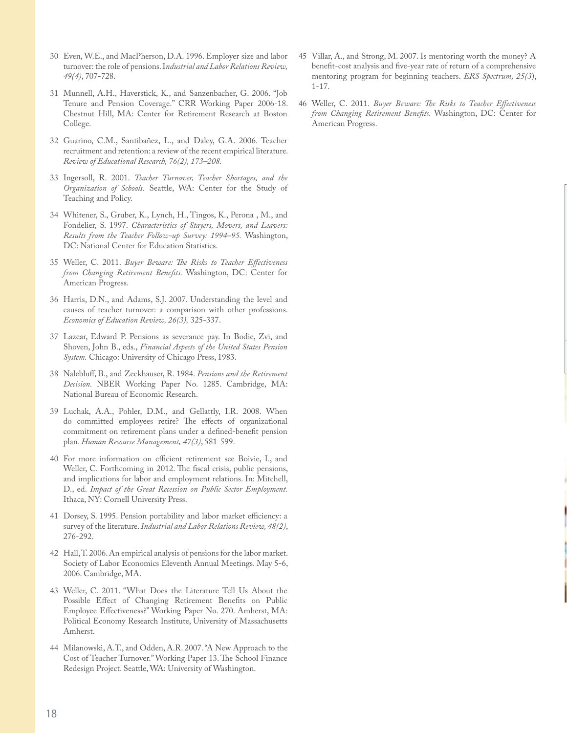- 30 Even, W.E., and MacPherson, D.A. 1996. Employer size and labor turnover: the role of pensions. I*ndustrial and Labor Relations Review, 49(4)*, 707-728.
- 31 Munnell, A.H., Haverstick, K., and Sanzenbacher, G. 2006. "Job Tenure and Pension Coverage." CRR Working Paper 2006-18. Chestnut Hill, MA: Center for Retirement Research at Boston College.
- 32 Guarino, C.M., Santibañez, L., and Daley, G.A. 2006. Teacher recruitment and retention: a review of the recent empirical literature. *Review of Educational Research, 76(2), 173–208.*
- 33 Ingersoll, R. 2001. *Teacher Turnover, Teacher Shortages, and the Organization of Schools.* Seattle, WA: Center for the Study of Teaching and Policy.
- 34 Whitener, S., Gruber, K., Lynch, H., Tingos, K., Perona , M., and Fondelier, S. 1997. *Characteristics of Stayers, Movers, and Leavers: Results from the Teacher Follow-up Survey: 1994–95.* Washington, DC: National Center for Education Statistics.
- 35 Weller, C. 2011. *Buyer Beware: The Risks to Teacher Effectiveness from Changing Retirement Benefits*. Washington, DC: Center for American Progress.
- 36 Harris, D.N., and Adams, S.J. 2007. Understanding the level and causes of teacher turnover: a comparison with other professions. *Economics of Education Review, 26(3),* 325-337.
- 37 Lazear, Edward P. Pensions as severance pay. In Bodie, Zvi, and Shoven, John B., eds., *Financial Aspects of the United States Pension System.* Chicago: University of Chicago Press, 1983.
- 38 Nalebluff, B., and Zeckhauser, R. 1984. *Pensions and the Retirement Decision.* NBER Working Paper No. 1285. Cambridge, MA: National Bureau of Economic Research.
- 39 Luchak, A.A., Pohler, D.M., and Gellattly, I.R. 2008. When do committed employees retire? The effects of organizational commitment on retirement plans under a defined-benefit pension plan. *Human Resource Management, 47(3)*, 581-599.
- 40 For more information on efficient retirement see Boivie, I., and Weller, C. Forthcoming in 2012. The fiscal crisis, public pensions, and implications for labor and employment relations. In: Mitchell, D., ed. *Impact of the Great Recession on Public Sector Employment.*  Ithaca, NY: Cornell University Press.
- 41 Dorsey, S. 1995. Pension portability and labor market efficiency: a survey of the literature. *Industrial and Labor Relations Review, 48(2)*, 276-292.
- 42 Hall, T. 2006. An empirical analysis of pensions for the labor market. Society of Labor Economics Eleventh Annual Meetings. May 5-6, 2006. Cambridge, MA.
- 43 Weller, C. 2011. "What Does the Literature Tell Us About the Possible Effect of Changing Retirement Benefits on Public Employee Effectiveness?" Working Paper No. 270. Amherst, MA: Political Economy Research Institute, University of Massachusetts Amherst.
- 44 Milanowski, A.T., and Odden, A.R. 2007. "A New Approach to the Cost of Teacher Turnover." Working Paper 13. The School Finance Redesign Project. Seattle, WA: University of Washington.
- 45 Villar, A., and Strong, M. 2007. Is mentoring worth the money? A benefit-cost analysis and five-year rate of return of a comprehensive mentoring program for beginning teachers. *ERS Spectrum, 25(3*), 1-17.
- 46 Weller, C. 2011. *Buyer Beware: The Risks to Teacher Effectiveness from Changing Retirement Benefits*. Washington, DC: Center for American Progress.